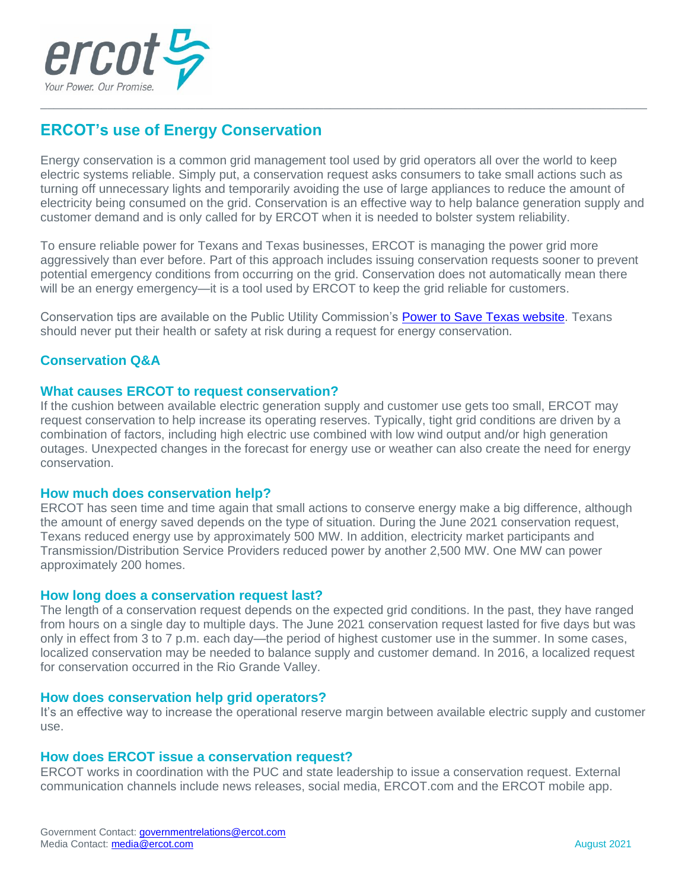

# **ERCOT's use of Energy Conservation**

Energy conservation is a common grid management tool used by grid operators all over the world to keep electric systems reliable. Simply put, a conservation request asks consumers to take small actions such as turning off unnecessary lights and temporarily avoiding the use of large appliances to reduce the amount of electricity being consumed on the grid. Conservation is an effective way to help balance generation supply and customer demand and is only called for by ERCOT when it is needed to bolster system reliability.

\_\_\_\_\_\_\_\_\_\_\_\_\_\_\_\_\_\_\_\_\_\_\_\_\_\_\_\_\_\_\_\_\_\_\_\_\_\_\_\_\_\_\_\_\_\_\_\_\_\_\_\_\_\_\_\_\_\_\_\_\_\_\_\_\_\_\_\_\_\_\_\_\_\_\_\_\_\_\_\_\_\_\_\_\_\_\_\_\_\_

To ensure reliable power for Texans and Texas businesses, ERCOT is managing the power grid more aggressively than ever before. Part of this approach includes issuing conservation requests sooner to prevent potential emergency conditions from occurring on the grid. Conservation does not automatically mean there will be an energy emergency—it is a tool used by ERCOT to keep the grid reliable for customers.

Conservation tips are available on the Public Utility Commission's [Power to Save Texas website.](http://www.powertosavetexas.net/) Texans should never put their health or safety at risk during a request for energy conservation.

## **Conservation Q&A**

#### **What causes ERCOT to request conservation?**

If the cushion between available electric generation supply and customer use gets too small, ERCOT may request conservation to help increase its operating reserves. Typically, tight grid conditions are driven by a combination of factors, including high electric use combined with low wind output and/or high generation outages. Unexpected changes in the forecast for energy use or weather can also create the need for energy conservation.

#### **How much does conservation help?**

ERCOT has seen time and time again that small actions to conserve energy make a big difference, although the amount of energy saved depends on the type of situation. During the June 2021 conservation request, Texans reduced energy use by approximately 500 MW. In addition, electricity market participants and Transmission/Distribution Service Providers reduced power by another 2,500 MW. One MW can power approximately 200 homes.

#### **How long does a conservation request last?**

The length of a conservation request depends on the expected grid conditions. In the past, they have ranged from hours on a single day to multiple days. The June 2021 conservation request lasted for five days but was only in effect from 3 to 7 p.m. each day—the period of highest customer use in the summer. In some cases, localized conservation may be needed to balance supply and customer demand. In 2016, a localized request for conservation occurred in the Rio Grande Valley.

#### **How does conservation help grid operators?**

It's an effective way to increase the operational reserve margin between available electric supply and customer use.

#### **How does ERCOT issue a conservation request?**

ERCOT works in coordination with the PUC and state leadership to issue a conservation request. External communication channels include news releases, social media, ERCOT.com and the ERCOT mobile app.